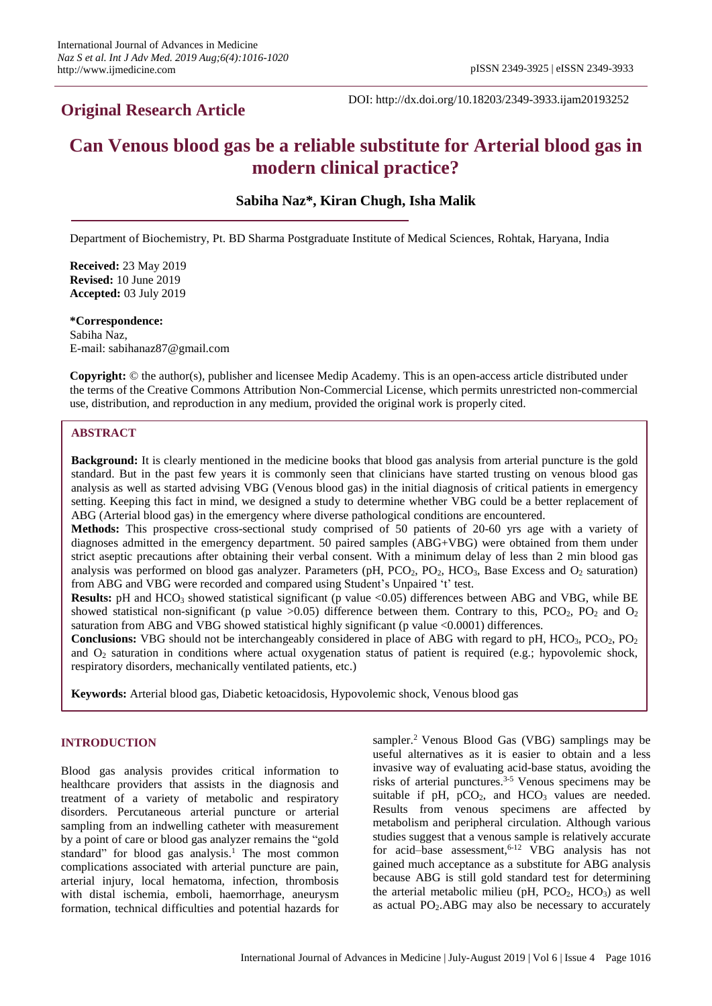# **Original Research Article**

DOI: http://dx.doi.org/10.18203/2349-3933.ijam20193252

# **Can Venous blood gas be a reliable substitute for Arterial blood gas in modern clinical practice?**

**Sabiha Naz\*, Kiran Chugh, Isha Malik**

Department of Biochemistry, Pt. BD Sharma Postgraduate Institute of Medical Sciences, Rohtak, Haryana, India

**Received:** 23 May 2019 **Revised:** 10 June 2019 **Accepted:** 03 July 2019

**\*Correspondence:** Sabiha Naz, E-mail: sabihanaz87@gmail.com

**Copyright:** © the author(s), publisher and licensee Medip Academy. This is an open-access article distributed under the terms of the Creative Commons Attribution Non-Commercial License, which permits unrestricted non-commercial use, distribution, and reproduction in any medium, provided the original work is properly cited.

## **ABSTRACT**

**Background:** It is clearly mentioned in the medicine books that blood gas analysis from arterial puncture is the gold standard. But in the past few years it is commonly seen that clinicians have started trusting on venous blood gas analysis as well as started advising VBG (Venous blood gas) in the initial diagnosis of critical patients in emergency setting. Keeping this fact in mind, we designed a study to determine whether VBG could be a better replacement of ABG (Arterial blood gas) in the emergency where diverse pathological conditions are encountered.

**Methods:** This prospective cross-sectional study comprised of 50 patients of 20-60 yrs age with a variety of diagnoses admitted in the emergency department. 50 paired samples (ABG+VBG) were obtained from them under strict aseptic precautions after obtaining their verbal consent. With a minimum delay of less than 2 min blood gas analysis was performed on blood gas analyzer. Parameters (pH,  $PCO_2$ ,  $PO_2$ ,  $HCO_3$ , Base Excess and  $O_2$  saturation) from ABG and VBG were recorded and compared using Student's Unpaired 't' test.

**Results:** pH and HCO<sub>3</sub> showed statistical significant (p value <0.05) differences between ABG and VBG, while BE showed statistical non-significant (p value  $>0.05$ ) difference between them. Contrary to this, PCO<sub>2</sub>, PO<sub>2</sub> and O<sub>2</sub> saturation from ABG and VBG showed statistical highly significant (p value <0.0001) differences.

**Conclusions:** VBG should not be interchangeably considered in place of ABG with regard to pH, HCO<sub>3</sub>, PCO<sub>2</sub>, PO<sub>2</sub> and  $O_2$  saturation in conditions where actual oxygenation status of patient is required (e.g.; hypovolemic shock, respiratory disorders, mechanically ventilated patients, etc.)

**Keywords:** Arterial blood gas, Diabetic ketoacidosis, Hypovolemic shock, Venous blood gas

## **INTRODUCTION**

Blood gas analysis provides critical information to healthcare providers that assists in the diagnosis and treatment of a variety of metabolic and respiratory disorders. Percutaneous arterial puncture or arterial sampling from an indwelling catheter with measurement by a point of care or blood gas analyzer remains the "gold standard" for blood gas analysis.<sup>1</sup> The most common complications associated with arterial puncture are pain, arterial injury, local hematoma, infection, thrombosis with distal ischemia, emboli, haemorrhage, aneurysm formation, technical difficulties and potential hazards for sampler.<sup>2</sup> Venous Blood Gas (VBG) samplings may be useful alternatives as it is easier to obtain and a less invasive way of evaluating acid-base status, avoiding the risks of arterial punctures. 3-5 Venous specimens may be suitable if  $pH$ ,  $pCO<sub>2</sub>$ , and  $HCO<sub>3</sub>$  values are needed. Results from venous specimens are affected by metabolism and peripheral circulation. Although various studies suggest that a venous sample is relatively accurate for acid–base assessment, 6-12 VBG analysis has not gained much acceptance as a substitute for ABG analysis because ABG is still gold standard test for determining the arterial metabolic milieu (pH,  $PCO<sub>2</sub>$ ,  $HCO<sub>3</sub>$ ) as well as actual  $PO<sub>2</sub>$ . ABG may also be necessary to accurately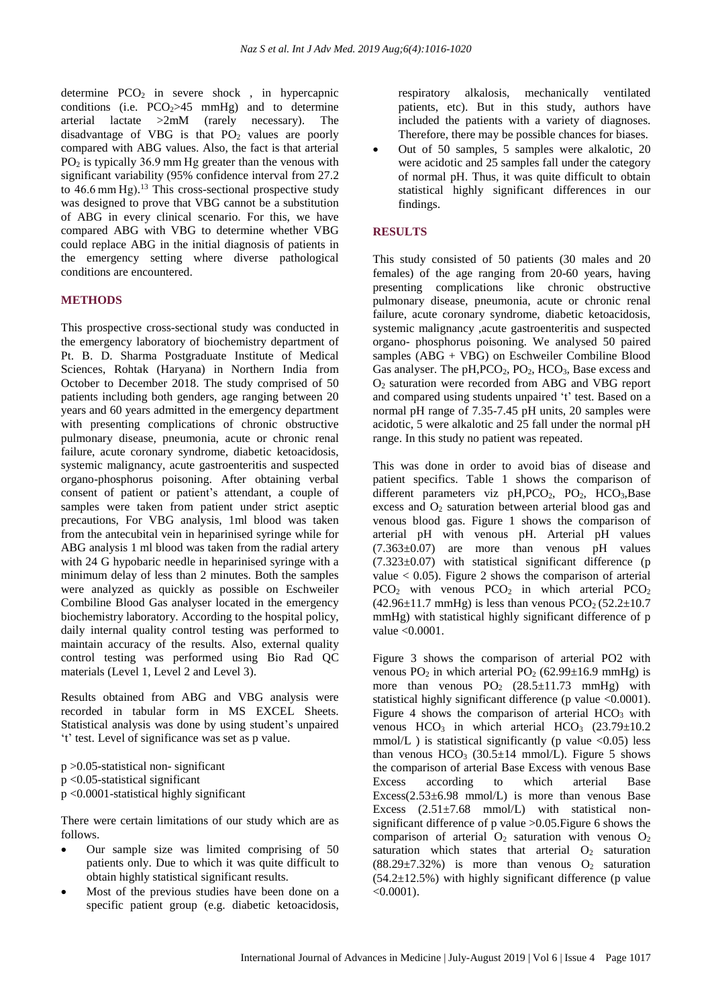determine  $PCO<sub>2</sub>$  in severe shock, in hypercapnic conditions (i.e.  $PCO<sub>2</sub>>45$  mmHg) and to determine arterial lactate >2mM (rarely necessary). The disadvantage of VBG is that  $PO<sub>2</sub>$  values are poorly compared with ABG values. Also, the fact is that arterial PO<sup>2</sup> is typically 36.9 mm Hg greater than the venous with significant variability (95% confidence interval from 27.2 to 46.6 mm Hg). <sup>13</sup> This cross-sectional prospective study was designed to prove that VBG cannot be a substitution of ABG in every clinical scenario. For this, we have compared ABG with VBG to determine whether VBG could replace ABG in the initial diagnosis of patients in the emergency setting where diverse pathological conditions are encountered.

#### **METHODS**

This prospective cross-sectional study was conducted in the emergency laboratory of biochemistry department of Pt. B. D. Sharma Postgraduate Institute of Medical Sciences, Rohtak (Haryana) in Northern India from October to December 2018. The study comprised of 50 patients including both genders, age ranging between 20 years and 60 years admitted in the emergency department with presenting complications of chronic obstructive pulmonary disease, pneumonia, acute or chronic renal failure, acute coronary syndrome, diabetic ketoacidosis, systemic malignancy, acute gastroenteritis and suspected organo-phosphorus poisoning. After obtaining verbal consent of patient or patient's attendant, a couple of samples were taken from patient under strict aseptic precautions, For VBG analysis, 1ml blood was taken from the antecubital vein in heparinised syringe while for ABG analysis 1 ml blood was taken from the radial artery with 24 G hypobaric needle in heparinised syringe with a minimum delay of less than 2 minutes. Both the samples were analyzed as quickly as possible on Eschweiler Combiline Blood Gas analyser located in the emergency biochemistry laboratory. According to the hospital policy, daily internal quality control testing was performed to maintain accuracy of the results. Also, external quality control testing was performed using Bio Rad QC materials (Level 1, Level 2 and Level 3).

Results obtained from ABG and VBG analysis were recorded in tabular form in MS EXCEL Sheets. Statistical analysis was done by using student's unpaired 't' test. Level of significance was set as p value.

p >0.05-statistical non- significant p <0.05-statistical significant p <0.0001-statistical highly significant

There were certain limitations of our study which are as follows.

- Our sample size was limited comprising of 50 patients only. Due to which it was quite difficult to obtain highly statistical significant results.
- Most of the previous studies have been done on a specific patient group (e.g. diabetic ketoacidosis,

respiratory alkalosis, mechanically ventilated patients, etc). But in this study, authors have included the patients with a variety of diagnoses. Therefore, there may be possible chances for biases.

• Out of 50 samples, 5 samples were alkalotic, 20 were acidotic and 25 samples fall under the category of normal pH. Thus, it was quite difficult to obtain statistical highly significant differences in our findings.

#### **RESULTS**

This study consisted of 50 patients (30 males and 20 females) of the age ranging from 20-60 years, having presenting complications like chronic obstructive pulmonary disease, pneumonia, acute or chronic renal failure, acute coronary syndrome, diabetic ketoacidosis, systemic malignancy ,acute gastroenteritis and suspected organo- phosphorus poisoning. We analysed 50 paired samples (ABG + VBG) on Eschweiler Combiline Blood Gas analyser. The pH, PCO<sub>2</sub>, PO<sub>2</sub>, HCO<sub>3</sub>, Base excess and O<sup>2</sup> saturation were recorded from ABG and VBG report and compared using students unpaired 't' test. Based on a normal pH range of 7.35-7.45 pH units, 20 samples were acidotic, 5 were alkalotic and 25 fall under the normal pH range. In this study no patient was repeated.

This was done in order to avoid bias of disease and patient specifics. Table 1 shows the comparison of different parameters viz  $pH, PCO<sub>2</sub>$ ,  $PO<sub>2</sub>$ ,  $HCO<sub>3</sub>$ , Base excess and  $\overline{O_2}$  saturation between arterial blood gas and venous blood gas. Figure 1 shows the comparison of arterial pH with venous pH. Arterial pH values  $(7.363\pm0.07)$  are more than venous pH values (7.323±0.07) with statistical significant difference (p value  $< 0.05$ ). Figure 2 shows the comparison of arterial  $PCO<sub>2</sub>$  with venous  $PCO<sub>2</sub>$  in which arterial  $PCO<sub>2</sub>$  $(42.96 \pm 11.7 \text{ mmHg})$  is less than venous PCO<sub>2</sub>  $(52.2 \pm 10.7 \text{ mmHg})$ mmHg) with statistical highly significant difference of p value <0.0001.

Figure 3 shows the comparison of arterial PO2 with venous  $PO_2$  in which arterial  $PO_2$  (62.99 $\pm$ 16.9 mmHg) is more than venous  $PO_2$  (28.5±11.73 mmHg) with statistical highly significant difference (p value <0.0001). Figure 4 shows the comparison of arterial  $HCO<sub>3</sub>$  with venous  $HCO<sub>3</sub>$  in which arterial  $HCO<sub>3</sub>$  (23.79 $\pm$ 10.2) mmol/L) is statistical significantly (p value  $\langle 0.05 \rangle$  less than venous  $HCO_3$  (30.5 $\pm$ 14 mmol/L). Figure 5 shows the comparison of arterial Base Excess with venous Base Excess according to which arterial Base Excess( $2.53\pm6.98$  mmol/L) is more than venous Base Excess  $(2.51\pm7.68 \text{ mmol/L})$  with statistical nonsignificant difference of p value >0.05.Figure 6 shows the comparison of arterial  $O_2$  saturation with venous  $O_2$ saturation which states that arterial  $O<sub>2</sub>$  saturation  $(88.29 \pm 7.32\%)$  is more than venous O<sub>2</sub> saturation  $(54.2\pm12.5\%)$  with highly significant difference (p value)  $<0.0001$ ).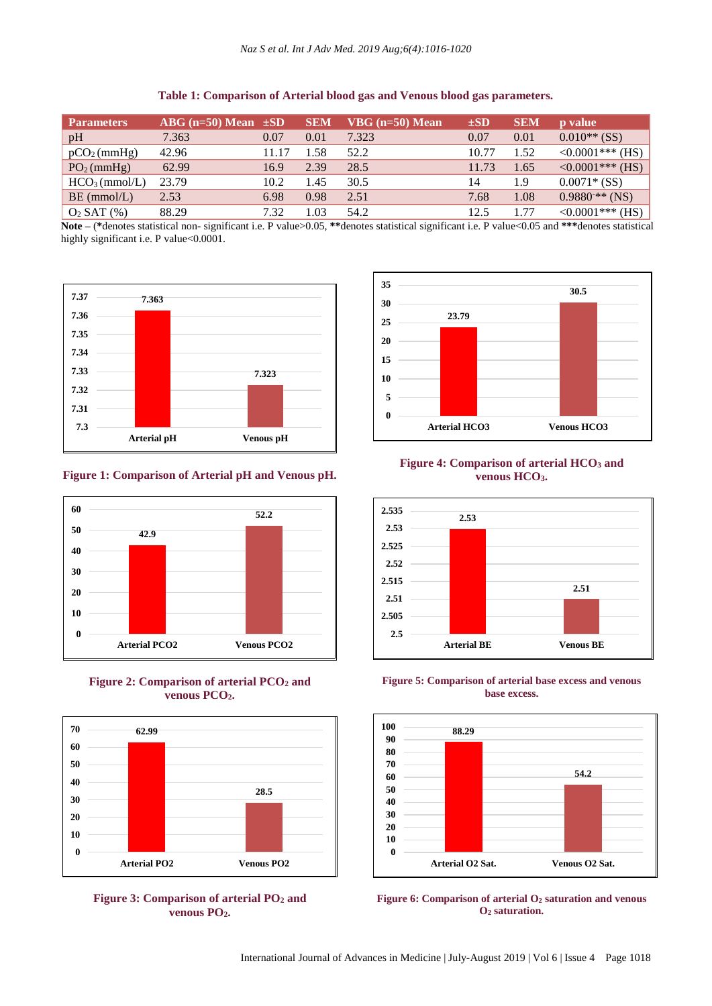| <b>Parameters</b>         | $ABG (n=50) \overline{Mean} \pm SD$ |       | <b>SEM</b> | $VBG$ (n=50) Mean | $\pm SD$ | <b>SEM</b> | <b>p</b> value     |
|---------------------------|-------------------------------------|-------|------------|-------------------|----------|------------|--------------------|
| pH                        | 7.363                               | 0.07  | 0.01       | 7.323             | 0.07     | 0.01       | $0.010**$ (SS)     |
| $pCO2$ (mmHg)             | 42.96                               | 11.17 | 1.58       | 52.2              | 10.77    | 1.52       | $<0.0001***$ (HS)  |
| PO <sub>2</sub> (mmHg)    | 62.99                               | 16.9  | 2.39       | 28.5              | 11.73    | 1.65       | $<0.0001***$ (HS)  |
| HCO <sub>3</sub> (mmol/L) | 23.79                               | 10.2  | 1.45       | 30.5              | 14       | 1.9        | $0.0071*(SS)$      |
| $BE$ (mmol/L)             | 2.53                                | 6.98  | 0.98       | 2.51              | 7.68     | 1.08       | $0.9880^{**}$ (NS) |
| $O_2$ SAT $(\%)$          | 88.29                               | 7.32  | 1.03       | 54.2              | 12.5     | 1.77       | $<0.0001***$ (HS)  |

**Table 1: Comparison of Arterial blood gas and Venous blood gas parameters.**

**Note –** (**\***denotes statistical non- significant i.e. P value>0.05, **\*\***denotes statistical significant i.e. P value<0.05 and **\*\*\***denotes statistical highly significant i.e. P value<0.0001.



## **Figure 1: Comparison of Arterial pH and Venous pH.**







**Figure 3: Comparison of arterial PO<sup>2</sup> and venous PO2.**



# **Figure 4: Comparison of arterial HCO<sup>3</sup> and venous HCO3.**







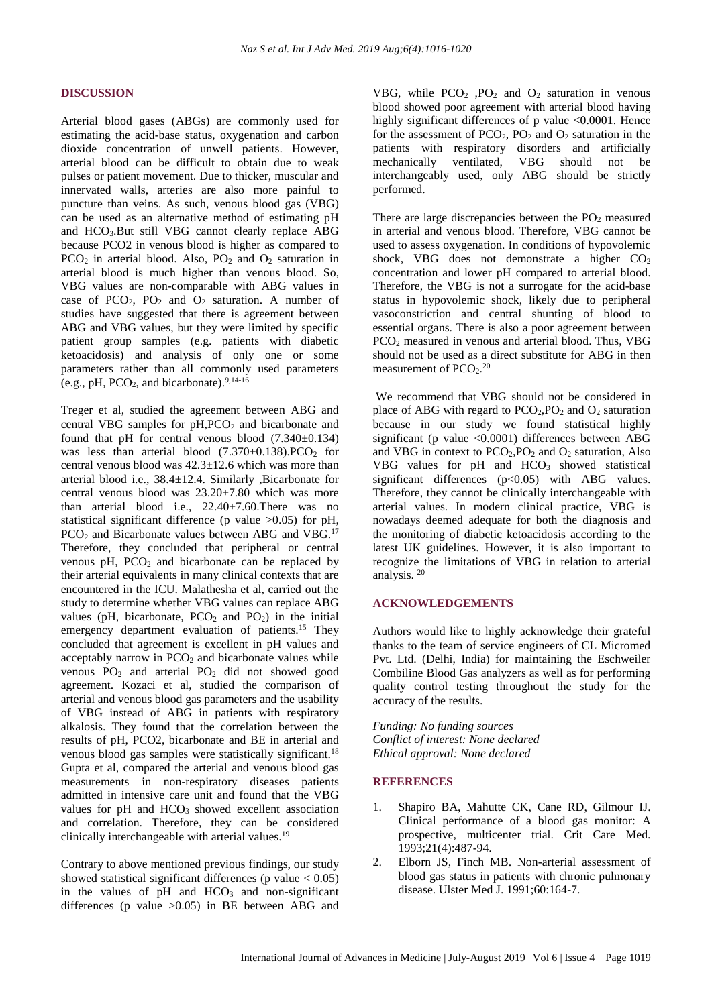#### **DISCUSSION**

Arterial blood gases (ABGs) are commonly used for estimating the acid-base status, oxygenation and carbon dioxide concentration of unwell patients. However, arterial blood can be difficult to obtain due to weak pulses or patient movement. Due to thicker, muscular and innervated walls, arteries are also more painful to puncture than veins. As such, venous blood gas (VBG) can be used as an alternative method of estimating pH and HCO3.But still VBG cannot clearly replace ABG because PCO2 in venous blood is higher as compared to  $PCO<sub>2</sub>$  in arterial blood. Also,  $PO<sub>2</sub>$  and  $O<sub>2</sub>$  saturation in arterial blood is much higher than venous blood. So, VBG values are non-comparable with ABG values in case of PCO<sub>2</sub>, PO<sub>2</sub> and O<sub>2</sub> saturation. A number of studies have suggested that there is agreement between ABG and VBG values, but they were limited by specific patient group samples (e.g. patients with diabetic ketoacidosis) and analysis of only one or some parameters rather than all commonly used parameters (e.g., pH,  $PCO<sub>2</sub>$ , and bicarbonate).<sup>9,14-16</sup>

Treger et al, studied the agreement between ABG and central VBG samples for pH,PCO<sub>2</sub> and bicarbonate and found that pH for central venous blood  $(7.340\pm0.134)$ was less than arterial blood  $(7.370\pm0.138)$ .PCO<sub>2</sub> for central venous blood was 42.3±12.6 which was more than arterial blood i.e., 38.4±12.4. Similarly ,Bicarbonate for central venous blood was 23.20±7.80 which was more than arterial blood i.e., 22.40±7.60.There was no statistical significant difference (p value  $>0.05$ ) for pH,  $PCO<sub>2</sub>$  and Bicarbonate values between ABG and VBG.<sup>17</sup> Therefore, they concluded that peripheral or central venous  $pH$ ,  $PCO<sub>2</sub>$  and bicarbonate can be replaced by their arterial equivalents in many clinical contexts that are encountered in the ICU. Malathesha et al, carried out the study to determine whether VBG values can replace ABG values (pH, bicarbonate,  $PCO<sub>2</sub>$  and  $PO<sub>2</sub>$ ) in the initial emergency department evaluation of patients.<sup>15</sup> They concluded that agreement is excellent in pH values and acceptably narrow in  $PCO<sub>2</sub>$  and bicarbonate values while venous PO<sup>2</sup> and arterial PO<sup>2</sup> did not showed good agreement. Kozaci et al, studied the comparison of arterial and venous blood gas parameters and the usability of VBG instead of ABG in patients with respiratory alkalosis. They found that the correlation between the results of pH, PCO2, bicarbonate and BE in arterial and venous blood gas samples were statistically significant.<sup>18</sup> Gupta et al, compared the arterial and venous blood gas measurements in non-respiratory diseases patients admitted in intensive care unit and found that the VBG values for  $pH$  and  $HCO<sub>3</sub>$  showed excellent association and correlation. Therefore, they can be considered clinically interchangeable with arterial values.<sup>19</sup>

Contrary to above mentioned previous findings, our study showed statistical significant differences (p value  $< 0.05$ ) in the values of  $pH$  and  $HCO<sub>3</sub>$  and non-significant differences (p value >0.05) in BE between ABG and VBG, while  $PCO<sub>2</sub>$ ,  $PO<sub>2</sub>$  and  $O<sub>2</sub>$  saturation in venous blood showed poor agreement with arterial blood having highly significant differences of  $p$  value  $\leq 0.0001$ . Hence for the assessment of  $PCO<sub>2</sub>$ ,  $PO<sub>2</sub>$  and  $O<sub>2</sub>$  saturation in the patients with respiratory disorders and artificially mechanically ventilated, VBG should not be interchangeably used, only ABG should be strictly performed.

There are large discrepancies between the  $PO<sub>2</sub>$  measured in arterial and venous blood. Therefore, VBG cannot be used to assess oxygenation. In conditions of hypovolemic shock, VBG does not demonstrate a higher  $CO<sub>2</sub>$ concentration and lower pH compared to arterial blood. Therefore, the VBG is not a surrogate for the acid-base status in hypovolemic shock, likely due to peripheral vasoconstriction and central shunting of blood to essential organs. There is also a poor agreement between PCO<sup>2</sup> measured in venous and arterial blood. Thus, VBG should not be used as a direct substitute for ABG in then measurement of  $PCO<sub>2</sub>$ .<sup>20</sup>

We recommend that VBG should not be considered in place of ABG with regard to  $PCO_2$ ,  $PO_2$  and  $O_2$  saturation because in our study we found statistical highly significant (p value  $\langle 0.0001 \rangle$  differences between ABG and VBG in context to  $PCO<sub>2</sub>, PO<sub>2</sub>$  and  $O<sub>2</sub>$  saturation, Also VBG values for pH and HCO<sub>3</sub> showed statistical significant differences  $(p<0.05)$  with ABG values. Therefore, they cannot be clinically interchangeable with arterial values. In modern clinical practice, VBG is nowadays deemed adequate for both the diagnosis and the monitoring of diabetic ketoacidosis according to the latest UK guidelines. However, it is also important to recognize the limitations of VBG in relation to arterial analysis. <sup>20</sup>

#### **ACKNOWLEDGEMENTS**

Authors would like to highly acknowledge their grateful thanks to the team of service engineers of CL Micromed Pvt. Ltd. (Delhi, India) for maintaining the Eschweiler Combiline Blood Gas analyzers as well as for performing quality control testing throughout the study for the accuracy of the results.

*Funding: No funding sources Conflict of interest: None declared Ethical approval: None declared*

#### **REFERENCES**

- 1. Shapiro BA, Mahutte CK, Cane RD, Gilmour IJ. Clinical performance of a blood gas monitor: A prospective, multicenter trial. Crit Care Med. 1993;21(4):487-94.
- 2. Elborn JS, Finch MB. Non-arterial assessment of blood gas status in patients with chronic pulmonary disease. Ulster Med J. 1991;60:164-7.